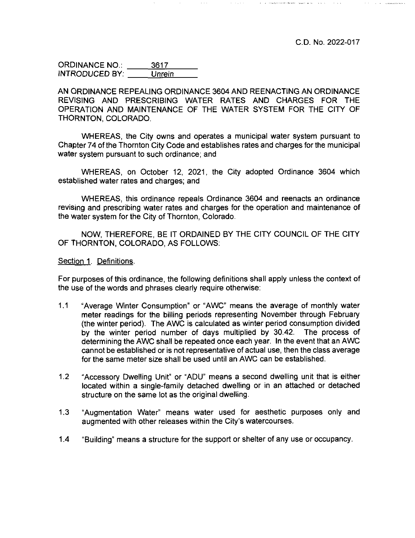| <b>ORDINANCE NO.:</b> | 3617   |
|-----------------------|--------|
| <b>INTRODUCED BY:</b> | Unrein |

AN ORDINANCE REPEALING ORDINANCE 3604 AND REENACTING AN ORDINANCE REVISING AND PRESCRIBING WATER RATES AND CHARGES FOR THE OPERATION AND MAINTENANCE OF THE WATER SYSTEM FOR THE CITY OF THORNTON, COLORADO.

 $\alpha$  ,  $\alpha$  ,  $\alpha$  ,  $\alpha$ 

WHEREAS, the City owns and operates a municipal water system pursuant to Chapter 74 of the Thornton City Code and establishes rates and charges for the municipal water system pursuant to such ordinance; and

WHEREAS, on October 12, 2021, the City adopted Ordinance 3604 which established water rates and charges; and

WHEREAS, this ordinance repeals Ordinance 3604 and reenacts an ordinance revising and prescribing water rates and charges for the operation and maintenance of the water system for the City of Thornton, Colorado.

NOW, THEREFORE, BE IT ORDAINED BY THE CITY COUNCIL OF THE CITY OF THORNTON, COLORADO, AS FOLLOWS:

Section 1. Definitions.

For purposes of this ordinance, the following definitions shall apply unless the context of the use of the words and phrases clearly require otherwise:

- 1.1 "Average Winter Consumption" or "AWC" means the average of monthly water meter readings for the billing periods representing November through February (the winter period). The AWC is calculated as winter period consumption divided by the winter period number of days multiplied by 30.42. The process of determining the AWC shall be repeated once each year. In the event that an AWC cannot be established or is not representative of actual use, then the class average for the same meter size shall be used until an AWC can be established.
- 1.2 "Accessory Dwelling Unit" or "ADU" means a second dwelling unit that is either located within a single-family detached dwelling or in an attached or detached structure on the same lot as the original dwelling.
- 1.3 "Augmentation Water" means water used for aesthetic purposes only and augmented with other releases within the City's watercourses.
- 1.4 "Building" means a structure for the support or shelter of any use or occupancy.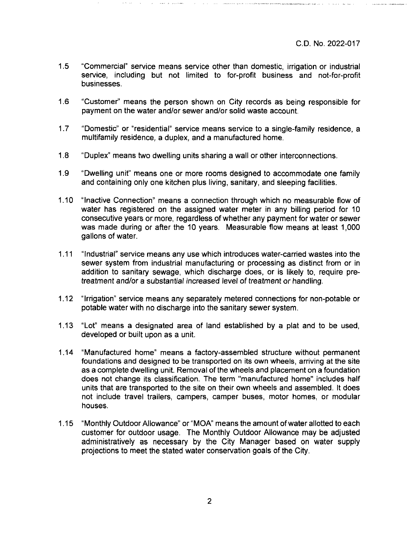- 1.5 "Commercial" service means service other than domestic, irrigation or industrial service, including but not limited to for-profit business and not-for-profit businesses.
- 1.6 "Customer" means the person shown on City records as being responsible for payment on the water and/or sewer and/or solid waste account.
- 1.7 "Domestic" or "residential" service means service to a single-family residence, a multifamily residence, a duplex, and a manufactured home.
- 1.8 "Duplex" means two dwelling units sharing a wall or other interconnections.
- 1.9 "Dwelling unit" means one or more rooms designed to accommodate one family and containing only one kitchen plus living, sanitary, and sleeping facilities.
- 1.10 "Inactive Connection" means a connection through which no measurable flow of water has registered on the assigned water meter in any billing period for 10 consecutive years or more, regardless of whether any payment for water or sewer was made during or after the 10 years. Measurable flow means at least 1,000 gallons of water.
- 1.11 "Industrial" service means any use which introduces water-carried wastes into the sewer system from industrial manufacturing or processing as distinct from or in addition to sanitary sewage, which discharge does, or is likely to, require pretreatment and/or a substantial increased level of treatment or handling.
- 1.12 "Irrigation" service means any separately metered connections for non-potable or potable water with no discharge into the sanitary sewer system.
- 1.13 "Lot" means a designated area of land established by a plat and to be used, developed or built upon as a unit.
- 1.14 "Manufactured home" means a factory-assembled structure without permanent foundations and designed to be transported on its own wheels, arriving at the site as a complete dwelling unit. Removal of the wheels and placement on a foundation does not change its classification. The term "manufactured home" includes half units that are transported to the site on their own wheels and assembled. It does not include travel trailers, campers, camper buses, motor homes, or modular houses.
- 1.15 "Monthly Outdoor Allowance" or "MOA" means the amount ofwater allotted to each customer for outdoor usage. The Monthly Outdoor Allowance may be adjusted administratively as necessary by the City Manager based on water supply projections to meet the stated water conservation goals of the City.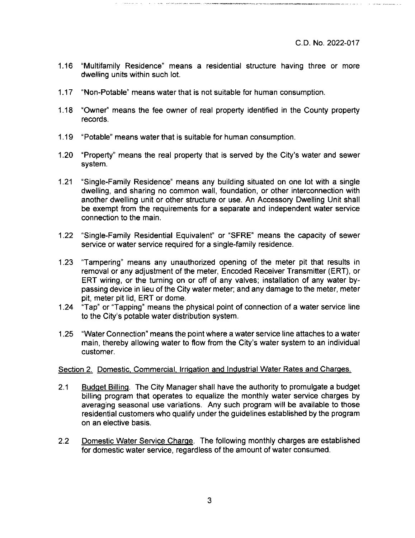- 1.16 ''Multifamily Residence" means a residential structure having three or more dwelling units within such lot.
- 1.17 "Non-Potable" means water that is not suitable for human consumption.
- 1.18 "Owner" means the fee owner of real property identified in the County property records.
- 1.19 "Potable" means water that is suitable for human consumption.
- 1.20 "Property" means the real property that is served by the City's water and sewer system.
- 1.21 "Single-Family Residence" means any building situated on one lot with a single dwelling, and sharing no common wall, foundation, or other interconnection with another dwelling unit or other structure or use. An Accessory Dwelling Unit shall be exempt from the requirements for a separate and independent water service connection to the main.
- 1.22 "Single-Family Residential Equivalent" or "SFRE" means the capacity of sewer service or water service required for a single-family residence.
- 1.23 "Tampering" means any unauthorized opening of the meter pit that results in removal or any adjustment of the meter. Encoded Receiver Transmitter (ERT), or ERT wiring, or the turning on or off of any valves; installation of any water bypassing device in lieu of the City water meter; and any damage to the meter, meter pit, meter pit lid, ERT or dome.
- 1.24 "Tap" or "Tapping" means the physical point of connection of a water service line to the City's potable water distribution system.
- 1.25 "Water Connection" means the point where a water service line attaches to a water main, thereby allowing water to flow from the City's water system to an individual customer.

# Section 2. Domestic, Commercial. Irrigation and Industrial Water Rates and Charges.

- 2.1 Budget Billing. The City Manager shall have the authority to promulgate a budget billing program that operates to equalize the monthly water service charges by averaging seasonal use variations. Any such program will be available to those residential customers who qualify under the guidelines established by the program on an elective basis.
- 2.2 Domestic Water Service Charge. The following monthly charges are established for domestic water service, regardless of the amount of water consumed.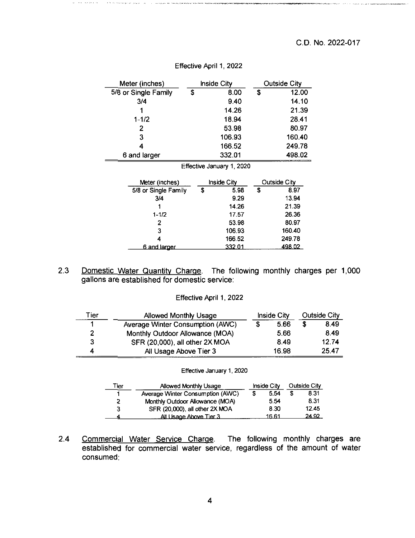.<br>In an September - Host Afric

| Meter (inches)       | <b>Inside City</b>        | Outside City        |
|----------------------|---------------------------|---------------------|
| 5/8 or Single Family | \$<br>8.00                | \$<br>12.00         |
| 3/4                  | 9.40                      | 14.10               |
|                      | 14.26                     | 21.39               |
| $1 - 1/2$            | 18.94                     | 28.41               |
| 2                    | 53.98                     | 80.97               |
| 3                    | 106.93                    | 160.40              |
| 4                    | 166.52                    | 249.78              |
| 6 and larger         | 332.01                    | 498.02              |
|                      | Effective January 1, 2020 |                     |
|                      |                           |                     |
| Meter (inches)       | Inside City               | <b>Outside City</b> |
| 5/8 or Single Family | \$<br>5.98                | \$<br>8.97          |
| 3/4                  | 9.29                      | 13.94               |
|                      | 14.26                     | 21.39               |
| $1 - 1/2$            | 17.57                     | 26.36               |
| 2                    | 53.98                     | 80.97               |
| 3                    | 106.93                    | 160.40              |
| 4                    | 166.52                    | 249.78              |
| <u>6 and larger</u>  | <u>332.01</u>             | <u>498.02 </u>      |

### Effective April 1, 2022

and the second second

 $\rightarrow$  10  $\rightarrow$  100 and any time power of

| 2.3 |                                               | Domestic Water Quantity Charge. The following monthly charges per 1,000 |
|-----|-----------------------------------------------|-------------------------------------------------------------------------|
|     | gallons are established for domestic service: |                                                                         |

#### Effective April 1,2022

| Tier | Allowed Monthly Usage            | Inside City | <b>Outside City</b> |
|------|----------------------------------|-------------|---------------------|
|      | Average Winter Consumption (AWC) | 5.66        | 8.49                |
| 2    | Monthly Outdoor Allowance (MOA)  | 5.66        | 8.49                |
| з    | SFR (20,000), all other 2X MOA   | 8.49        | 12.74               |
| 4    | All Usage Above Tier 3           | 16.98       | 25.47               |

#### Effective January 1, 2020

| ™er | Allowed Monthly Usage            | Inside City |       | <b>Outside City</b> |       |
|-----|----------------------------------|-------------|-------|---------------------|-------|
|     | Average Winter Consumption (AWC) |             | 5.54  |                     | 8.31  |
| 2   | Monthly Outdoor Allowance (MOA)  |             | 5.54  |                     | 8.31  |
| З   | SFR (20,000), all other 2X MOA   |             | 8.30  |                     | 12.45 |
|     | All Usage Above Tier 3           |             | 16.61 |                     | 24.92 |

2.4 Commercial Water Service Charge. The following monthly charges are established for commercial water service, regardless of the amount of water consumed: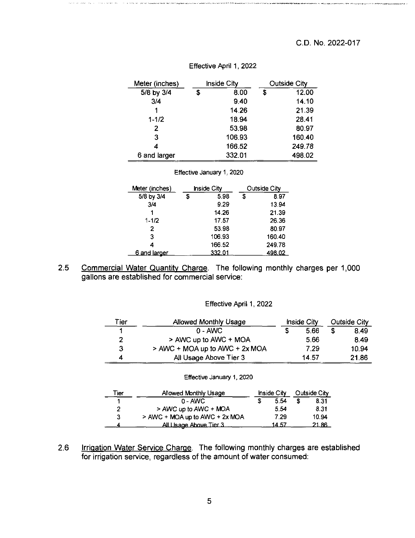| Meter (inches) | Inside City |        |   | <b>Outside City</b> |
|----------------|-------------|--------|---|---------------------|
| 5/8 by 3/4     | S           | 8.00   | S | 12.00               |
| 3/4            |             | 9.40   |   | 14.10               |
|                |             | 14.26  |   | 21.39               |
| $1 - 1/2$      |             | 18.94  |   | 28.41               |
| 2              |             | 53.98  |   | 80.97               |
| 3              |             | 106.93 |   | 160.40              |
| 4              |             | 166.52 |   | 249.78              |
| 6 and larger   |             | 332.01 |   | 498.02              |

#### Effective April 1,2022

#### Effective January 1, 2020

| Meter (inches) | <b>Inside City</b> |   | Outside City |
|----------------|--------------------|---|--------------|
| 5/8 by 3/4     | \$<br>5.98         | £ | 8.97         |
| 3/4            | 9.29               |   | 13.94        |
|                | 14.26              |   | 21.39        |
| $1 - 1/2$      | 17.57              |   | 26.36        |
| 2              | 53.98              |   | 80.97        |
| 3              | 106.93             |   | 160.40       |
| 4              | 166.52             |   | 249.78       |
| 6 and larger   | 332.01             |   | 498.02       |

2.5 Commercial Water Quantity Charge. The following monthly charges per 1,000 gallons are established for commercial service:

#### Effective April 1, 2022

| "ier | Allowed Monthly Usage          | Inside City | Outside City |
|------|--------------------------------|-------------|--------------|
|      | $0 - AMC$                      | 5.66        | 8.49         |
|      | > AWC up to AWC + MOA          | 5.66        | 8.49         |
| 3    | > AWC + MOA up to AWC + 2x MOA | 7.29        | 10.94        |
|      | All Usage Above Tier 3         | 14.57       | 21.86        |

| , ier | Allowed Monthly Usage          | Inside City |       | Outside City |       |
|-------|--------------------------------|-------------|-------|--------------|-------|
|       | $0 - AMC$                      |             | 5.54  |              | 8.31  |
|       | > AWC up to AWC + MOA          |             | 5.54  |              | 8.31  |
| 3     | > AWC + MOA up to AWC + 2x MOA |             | 7.29  |              | 10.94 |
|       | All Usage Above Tier 3         |             | 14.57 |              | 21.86 |

#### Effective January 1, 2020

2.6 Irrigation Water Service Charge. The following monthly charges are established for irrigation service, regardless of the amount of water consumed: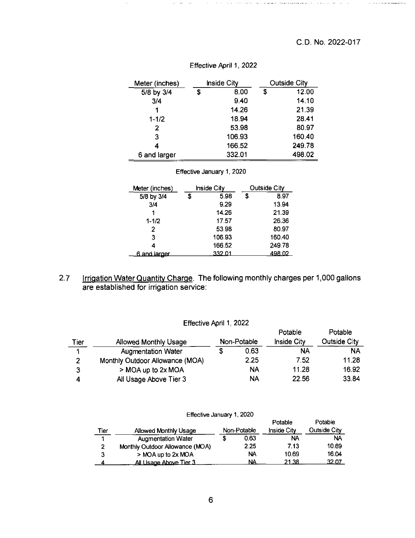$\hat{z} = \hat{z} \hat{z} + \hat{z} \hat{z} + \hat{z} \hat{z}$  for the equivalent proof  $\hat{z}$ 

| Meter (inches) | <b>Inside City</b> |    | <b>Outside City</b> |
|----------------|--------------------|----|---------------------|
| 5/8 by 3/4     | \$<br>8.00         | \$ | 12.00               |
| 3/4            | 9.40               |    | 14.10               |
| 1              | 14.26              |    | 21.39               |
| $1 - 1/2$      | 18.94              |    | 28.41               |
| 2              | 53.98              |    | 80.97               |
| 3              | 106.93             |    | 160.40              |
| 4              | 166.52             |    | 249.78              |
| 6 and larger   | 332.01             |    | 498.02              |

# Effective April 1, 2022

#### Effective January 1, 2020

| Meter (inches) | <b>Inside City</b> |   | Outside City |
|----------------|--------------------|---|--------------|
| 5/8 by 3/4     | \$<br>5.98         | S | 8.97         |
| 3/4            | 9.29               |   | 13.94        |
| 1              | 14.26              |   | 21.39        |
| $1 - 1/2$      | 17.57              |   | 26.36        |
| 2              | 53.98              |   | 80.97        |
| 3              | 106.93             |   | 160.40       |
|                | 166.52             |   | 249.78       |
| 6 and larger   | 332.01             |   | 498.02       |

2.7 Irrigation Water Quantity Charge. The following monthly charges per 1,000 gallons are established for irrigation service;

| Tier | <b>Allowed Monthly Usage</b>    |   | Non-Potable | Potable<br><b>Inside City</b> | Potable<br><b>Outside City</b> |
|------|---------------------------------|---|-------------|-------------------------------|--------------------------------|
|      | <b>Augmentation Water</b>       | S | 0.63        | NA                            | <b>NA</b>                      |
| 2    | Monthly Outdoor Allowance (MOA) |   | 2.25        | 7.52                          | 11.28                          |
| 3    | > MOA up to 2x MOA              |   | NA          | 11.28                         | 16.92                          |
|      | All Usage Above Tier 3          |   | NA          | 22.56                         | 33.84                          |

Effective April 1, 2022

| Effective January 1, 2020 |  |  |
|---------------------------|--|--|
|---------------------------|--|--|

| <u>Tier</u> | Allowed Monthly Usage           | Non-Potable | Potable<br><b>Inside City</b> | Potable<br><b>Outside City</b> |
|-------------|---------------------------------|-------------|-------------------------------|--------------------------------|
| 4           | <b>Augmentation Water</b>       | 0.63        | NA                            | <b>NA</b>                      |
| 2           | Monthly Outdoor Allowance (MOA) | 2.25        | 7.13                          | 10.69                          |
| 3           | > MOA up to 2x MOA              | <b>NA</b>   | 10.69                         | 16.04                          |
|             | All Usage Above Tier 3          | <b>NA</b>   | 21.38                         | 32.07                          |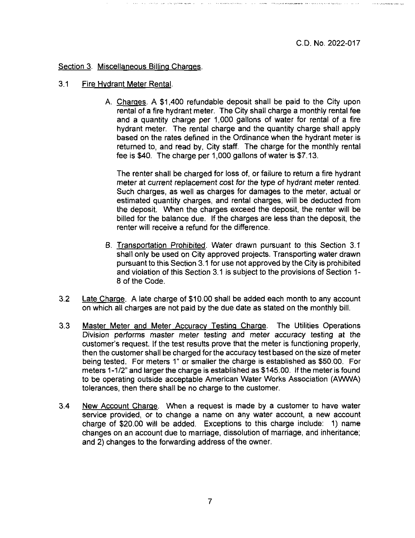C.D. No. 2022-017

.<br>An is also que de adaptar la segu

Section 3. Miscellaneous Billing Charges.

- 3.1 Fire Hydrant Meter Rental.
	- A. Charges. A \$1,400 refundable deposit shall be paid to the City upon rental of a fire hydrant meter. The City shall charge a monthly rental fee and a quantity charge per 1,000 gallons of water for rental of a fire hydrant meter. The rental charge and the quantity charge shall apply based on the rates defined in the Ordinance when the hydrant meter is returned to, and read by. City staff. The charge for the monthly rental fee is \$40. The charge per 1,000 gallons of water is \$7.13.

The renter shall be charged for loss of, or failure to return a fire hydrant meter at current replacement cost for the type of hydrant meter rented. Such charges, as well as charges for damages to the meter, actual or estimated quantity charges, and rental charges, will be deducted from the deposit. When the charges exceed the deposit, the renter will be billed for the balance due. If the charges are less than the deposit, the renter will receive a refund for the difference.

- B. Transportation Prohibited. Water drawn pursuant to this Section 3.1 shall only be used on City approved projects. Transporting water drawn pursuant to this Section 3.1 for use not approved by the City is prohibited and violation of this Section 3.1 is subject to the provisions of Section 1- 8 of the Code.
- 3.2 Late Charge. A late charge of \$10.00 shall be added each month to any account on which all charges are not paid by the due date as stated on the monthly bill.
- 3.3 Master Meter and Meter Accuracy Testing Charge. The Utilities Operations Division performs master meter testing and meter accuracy testing at the customer's request. If the test results prove that the meter is functioning properly, then the customer shall be charged forthe accuracy test based on the size of meter being tested. For meters 1" or smaller the charge is established as \$50.00. For meters 1-1/2" and larger the charge is established as \$145.00. If the meter is found to be operating outside acceptable American Water Works Association (AWWA) tolerances, then there shall be no charge to the customer.
- 3.4 New Account Charge. When a request is made by a customer to have water service provided, or to change a name on any water account, a new account charge of \$20.00 will be added. Exceptions to this charge include: 1) name changes on an account due to marriage, dissolution of marriage, and inheritance; and 2) changes to the forwarding address of the owner.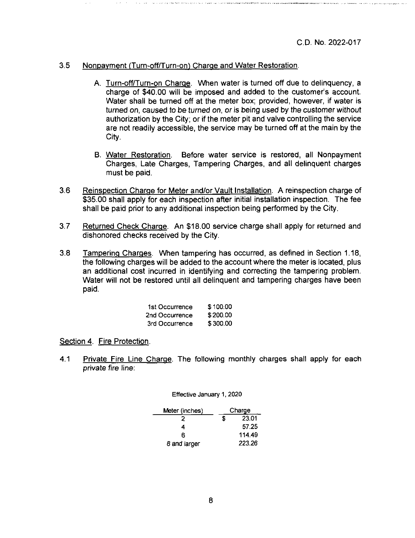## 3.5 Nonpayment (Turn-off/Turn-on) Charge and Water Restoration.

- A. Turn-off/Turn-on Charge. When water is turned off due to delinquency, a charge of \$40.00 will be imposed and added to the customer's account. Water shall be turned off at the meter box; provided, however, if water is turned on, caused to be turned on, or is being used by the customer without authorization by the City; or if the meter pit and valve controlling the service are not readily accessible, the service may be turned off at the main by the City.
- B. Water Restoration. Before water service is restored, all Nonpayment Charges, Late Charges, Tampering Charges, and all delinquent charges must be paid.
- 3.6 Reinspection Charge for Meter and/or Vault Installation. A reinspection charge of \$35.00 shall apply for each inspection after initial installation inspection. The fee shall be paid prior to any additional inspection being performed by the City.
- 3.7 Returned Check Charge. An \$18.00 service charge shall apply for returned and dishonored checks received by the City.
- 3.8 Tampering Charges. When tampering has occurred, as defined in Section 1.18, the following charges will be added to the account where the meter is located, plus an additional cost incurred in identifying and correcting the tampering problem. Water will not be restored until all delinquent and tampering charges have been paid.

| 1st Occurrence | \$100.00 |
|----------------|----------|
| 2nd Occurrence | \$200.00 |
| 3rd Occurrence | \$300.00 |

Section 4. Fire Protection.

4.1 Private Fire Line Charge. The following monthly charges shall apply for each private fire line:

Effective January 1,2020

| Meter (inches) |   | Charge |
|----------------|---|--------|
|                | S | 23.01  |
| 4              |   | 57.25  |
| R              |   | 114.49 |
| 8 and larger   |   | 223.26 |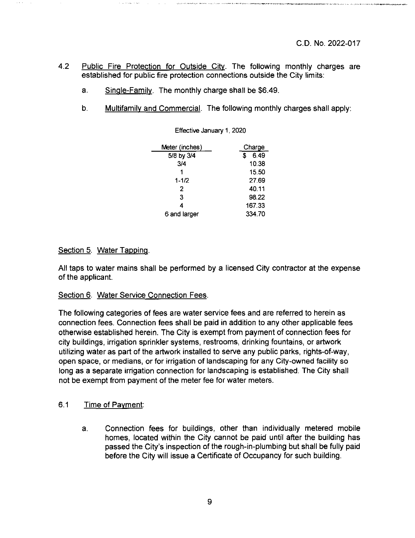monitoring four properties and contract planned prints and many of the prints approach

- 4.2 Public Fire Protection for Outside City. The following monthly charges are established for public fire protection connections outside the City limits:
	- a. Single-Family. The monthly charge shall be \$6.49.
	- b. Multifamily and Commercial. The following monthly charges shall apply:

| Meter (inches) | Charge |
|----------------|--------|
| 5/8 by 3/4     | 6.49   |
| 3/4            | 10.38  |
| 1              | 15.50  |
| $1 - 1/2$      | 27.69  |
| 2              | 40.11  |
| 3              | 98.22  |
| 4              | 167.33 |
| 6 and larger   | 334.70 |

Effective January 1,2020

#### Section 5. Water Tapping.

All taps to water mains shall be performed by a licensed City contractor at the expense of the applicant.

#### Section 6. Water Service Connection Fees.

The following categories of fees are water service fees and are referred to herein as connection fees. Connection fees shall be paid in addition to any other applicable fees otherwise established herein. The City is exempt from payment of connection fees for city buildings, irrigation sprinkler systems, restrooms, drinking fountains, or artwork utilizing water as part of the artwork installed to serve any public parks, rights-of-way, open space, or medians, or for irrigation of landscaping for any City-owned facility so long as a separate irrigation connection for landscaping is established. The City shall not be exempt from payment of the meter fee for water meters.

#### 6.1 Time of Payment:

a. Connection fees for buildings, other than individually metered mobile homes, located within the City cannot be paid until after the building has passed the City's inspection of the rough-in-plumbing but shall be fully paid before the City will issue a Certificate of Occupancy for such building.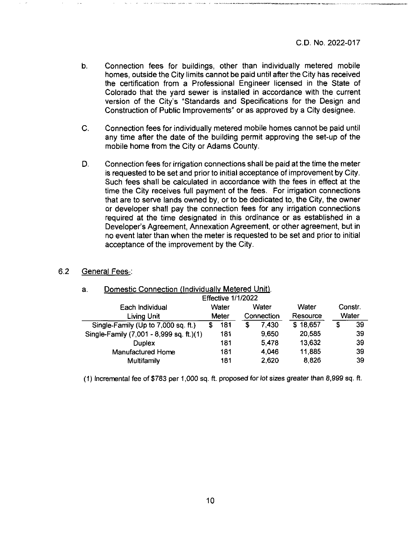■■'III »ini rv.in

- b. Connection fees for buildings, other than individually metered mobile homes, outside the City limits cannot be paid until after the City has received the certification from a Professional Engineer licensed in the State of Colorado that the yard sewer is installed in accordance with the current version of the City's "Standards and Specifications for the Design and Construction of Public Improvements" or as approved by a City designee.
- C. Connection fees for individually metered mobile homes cannot be paid until any time after the date of the building permit approving the set-up of the mobile home from the City or Adams County.
- D. Connection fees for irrigation connections shall be paid at the time the meter is requested to be set and prior to initial acceptance of improvement by City. Such fees shall be calculated in accordance with the fees in effect at the time the City receives full payment of the fees. For irrigation connections that are to serve lands owned by, or to be dedicated to, the City, the owner or developer shall pay the connection fees for any irrigation connections required at the time designated in this ordinance or as established in a Developer's Agreement, Annexation Agreement, or other agreement, but in no event later than when the meter is requested to be set and prior to initial acceptance of the improvement by the City.

#### 6.2 General Fees-:

| а.<br>Domestic Connection (Individually Metered O <u>nit)</u> . |     |            |       |          |       |                                                 |    |  |  |  |  |
|-----------------------------------------------------------------|-----|------------|-------|----------|-------|-------------------------------------------------|----|--|--|--|--|
| <b>Effective 1/1/2022</b>                                       |     |            |       |          |       |                                                 |    |  |  |  |  |
|                                                                 |     | Water      |       |          |       | Constr.                                         |    |  |  |  |  |
| Meter                                                           |     | Connection |       | Resource |       | Water                                           |    |  |  |  |  |
| S                                                               | 181 | S          | 7.430 |          |       | S                                               | 39 |  |  |  |  |
|                                                                 | 181 |            | 9.650 |          |       |                                                 | 39 |  |  |  |  |
|                                                                 | 181 |            | 5.478 |          |       |                                                 | 39 |  |  |  |  |
|                                                                 | 181 |            | 4.046 |          |       |                                                 | 39 |  |  |  |  |
|                                                                 | 181 |            | 2,620 |          | 8,826 |                                                 | 39 |  |  |  |  |
|                                                                 |     | Water      |       |          |       | Water<br>\$18,657<br>20,585<br>13,632<br>11,885 |    |  |  |  |  |

# a. Domestic Connection (Individually Metered Unit).

(1) Incremental fee of \$783 per 1,000 sq. ft. proposed for lot sizes greater than 8,999 sq. ft.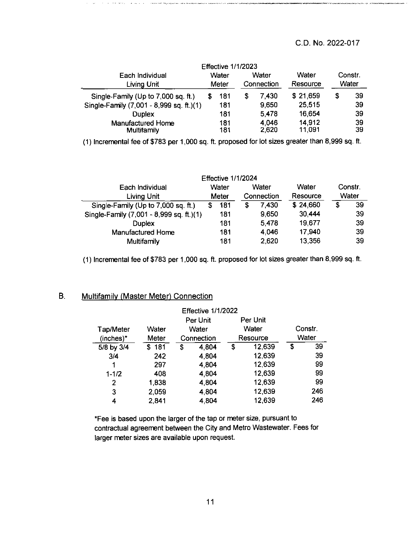# C.D. No. 2022-017

*ouun*

|                                          |       | <b>Effective 1/1/2023</b> |            |                |                  |         |          |
|------------------------------------------|-------|---------------------------|------------|----------------|------------------|---------|----------|
| Each Individual                          |       | Water                     | Water      |                | Water            | Constr. |          |
| Living Unit                              | Meter |                           | Connection |                | Resource         |         | Water    |
| Single-Family (Up to 7,000 sq. ft.)      |       | 181                       | 5          | 7,430          | \$21,659         | S       | 39       |
| Single-Family (7,001 - 8,999 sq. ft.)(1) |       | 181                       |            | 9,650          | 25,515           |         | 39       |
| <b>Duplex</b>                            |       | 181                       |            | 5,478          | 16,654           |         | 39       |
| Manufactured Home<br><b>Multifamily</b>  |       | 181<br>181                |            | 4,046<br>2,620 | 14,912<br>11,091 |         | 39<br>39 |

(1) Incremental fee of \$783 per 1,000 sq. ft. proposed for lot sizes greater than 8,999 sq. ft.

|                                          |       | <b>Effective 1/1/2024</b> |            |       |          |          |    |       |
|------------------------------------------|-------|---------------------------|------------|-------|----------|----------|----|-------|
| Each Individual                          |       | Water<br>Water            |            |       | Water    | Constr.  |    |       |
| <b>Living Unit</b>                       | Meter |                           | Connection |       |          | Resource |    | Water |
| Single-Family (Up to 7,000 sq. ft.)      |       | 181                       | S          | 7.430 | \$24,660 | S        | 39 |       |
| Single-Family (7,001 - 8,999 sq. ft.)(1) |       | 181                       |            | 9,650 | 30,444   |          | 39 |       |
| <b>Duplex</b>                            |       | 181                       |            | 5,478 | 19,677   |          | 39 |       |
| Manufactured Home                        |       | 181                       |            | 4.046 | 17,940   |          | 39 |       |
| <b>Multifamily</b>                       |       | 181                       |            | 2.620 | 13,356   |          | 39 |       |

(1) Incremental fee of \$783 per 1,000 sq. ft. proposed for lot sizes greater than 8,999 sq. ft.

## B. Multifamilv (Master Meter) Connection

 $\beta = \beta = \sigma \sigma / \sigma \sigma \sigma$ 

 $\mathbf{x}$  ,  $\mathbf{x}$  ,  $\mathbf{x}$  ,  $\mathbf{x}$ 

| <b>Effective 1/1/2022</b> |           |            |          |    |          |       |     |  |       |  |         |  |
|---------------------------|-----------|------------|----------|----|----------|-------|-----|--|-------|--|---------|--|
|                           |           |            | Per Unit |    | Per Unit |       |     |  |       |  |         |  |
| Tap/Meter                 | Water     | Water      |          |    |          |       |     |  | Water |  | Constr. |  |
| (inches)*                 | Meter     | Connection |          |    | Resource | Water |     |  |       |  |         |  |
| 5/8 by 3/4                | 181<br>S. | S          | 4.804    | \$ | 12,639   | \$    | 39  |  |       |  |         |  |
| 3/4                       | 242       |            | 4,804    |    | 12,639   |       | 39  |  |       |  |         |  |
| 1                         | 297       |            | 4 804    |    | 12,639   |       | 99  |  |       |  |         |  |
| $1 - 1/2$                 | 408       |            | 4,804    |    | 12,639   |       | 99  |  |       |  |         |  |
| 2                         | 1,838     |            | 4.804    |    | 12,639   |       | 99  |  |       |  |         |  |
| 3                         | 2,059     |            | 4,804    |    | 12,639   |       | 246 |  |       |  |         |  |
| 4                         | 2,841     |            | 4.804    |    | 12,639   |       | 246 |  |       |  |         |  |

\*Fee is based upon the larger of the tap or meter size, pursuant to contractual agreement between the City and Metro Wastewater. Fees for larger meter sizes are available upon request.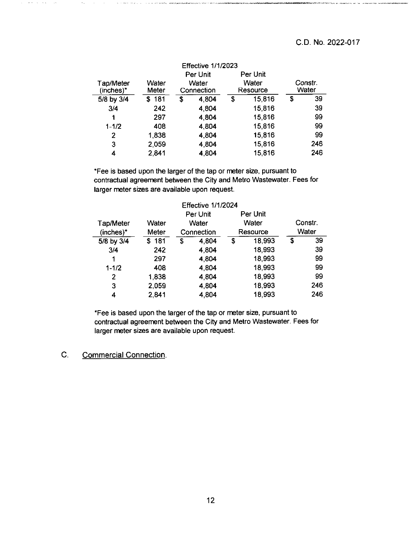|                        |                |                     | Per Unit | Per Unit          |                  |
|------------------------|----------------|---------------------|----------|-------------------|------------------|
| Tap/Meter<br>(inches)* | Water<br>Meter | Water<br>Connection |          | Water<br>Resource | Constr.<br>Water |
| 5/8 by 3/4             | \$181          | \$                  | 4.804    | \$<br>15,816      | \$<br>39         |
| 3/4                    | 242            |                     | 4,804    | 15,816            | 39               |
| 1                      | 297            |                     | 4.804    | 15,816            | 99               |
| $1 - 1/2$              | 408            |                     | 4.804    | 15,816            | 99               |
| 2                      | 1,838          |                     | 4,804    | 15,816            | 99               |
| 3                      | 2,059          |                     | 4.804    | 15,816            | 246              |
| 4                      | 2,841          |                     | 4.804    | 15,816            | 246              |

\*Fee is based upon the larger of the tap or meter size, pursuant to contractual agreement between the City and Metro Wastewater. Fees for larger meter sizes are available upon request.

| <b>Effective 1/1/2024</b> |       |            |          |          |          |       |         |  |  |  |  |
|---------------------------|-------|------------|----------|----------|----------|-------|---------|--|--|--|--|
|                           |       |            | Per Unit |          | Per Unit |       |         |  |  |  |  |
| Tap/Meter                 | Water |            | Water    |          | Water    |       | Constr. |  |  |  |  |
| (inches)*                 | Meter | Connection |          | Resource |          | Water |         |  |  |  |  |
| 5/8 by 3/4                | \$181 | Ŝ          | 4,804    | S        | 18,993   | \$    | 39      |  |  |  |  |
| 3/4                       | 242   |            | 4.804    |          | 18,993   |       | 39      |  |  |  |  |
| 1                         | 297   | 4.804      |          |          | 18,993   |       | 99      |  |  |  |  |
| $1 - 1/2$                 | 408   | 4.804      |          |          | 18,993   |       | 99      |  |  |  |  |
| 2                         | 1,838 |            | 4.804    |          | 18,993   |       | 99      |  |  |  |  |
| 3                         | 2,059 |            | 4 804    |          | 18,993   |       | 246     |  |  |  |  |
| 4                         | 2,841 |            | 4,804    |          | 18,993   |       | 246     |  |  |  |  |

\*Fee is based upon the larger of the tap or meter size, pursuant to contractual agreement between the City and Metro Wastewater. Fees for larger meter sizes are available upon request.

 $\bar{z}$ 

 $\mathcal{H}(\tau)$  ,  $\mathcal{H}(\tau)$  ,  $\mathcal{H}(\tau)$ 

 $\sim$ 

C. Commercial Connection.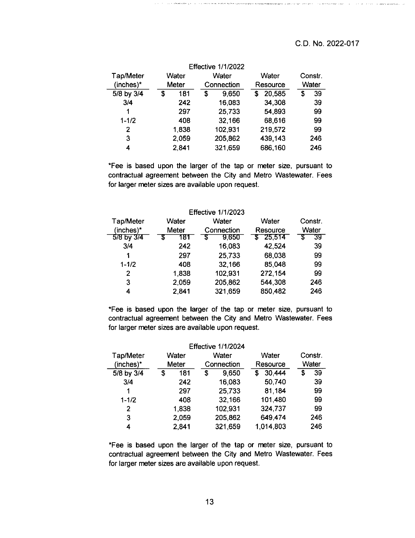$\sigma_{\rm{eff}}$  , we recover a model  $\sim 0.15$ 

**A Sillar College Canada and** 

Note that is a proportional complete that the second state  $\mu$  , power of  $\mu$  and  $\tau$  and  $\mu$  are  $\tau$ 

| <b>Effective 1/1/2022</b> |       |       |    |            |   |         |          |       |  |  |  |  |
|---------------------------|-------|-------|----|------------|---|---------|----------|-------|--|--|--|--|
| Tap/Meter                 | Water |       |    | Water      |   | Water   | Constr.  |       |  |  |  |  |
| $(inches)*$               |       | Meter |    | Connection |   |         | Resource | Water |  |  |  |  |
| 5/8 by 3/4                | \$    | 181   | \$ | 9,650      | S | 20,585  | \$       | 39    |  |  |  |  |
| 3/4                       |       | 242   |    | 16,083     |   | 34,308  |          | 39    |  |  |  |  |
| 1                         |       | 297   |    | 25,733     |   | 54.893  |          | 99    |  |  |  |  |
| $1 - 1/2$                 |       | 408   |    | 32,166     |   | 68,616  |          | 99    |  |  |  |  |
| $\overline{2}$            |       | 1,838 |    | 102,931    |   | 219,572 |          | 99    |  |  |  |  |
| 3                         |       | 2,059 |    | 205,862    |   | 439,143 |          | 246   |  |  |  |  |
| 4                         |       | 2,841 |    | 321,659    |   | 686,160 |          | 246   |  |  |  |  |

\*Fee is based upon the larger of the tap or meter size, pursuant to contractual agreement between the City and Metro Wastewater. Fees for larger meter sizes are available upon request.

| <b>Effective 1/1/2023</b> |       |            |          |         |  |  |  |
|---------------------------|-------|------------|----------|---------|--|--|--|
| Tap/Meter<br>Water        |       | Water      | Water    | Constr. |  |  |  |
| (inches)*                 | Meter | Connection | Resource | Water   |  |  |  |
| 5/8 by 3/4                | 181   | 9,650<br>S | \$25.514 | 39      |  |  |  |
| 3/4                       | 242   | 16,083     | 42,524   | 39      |  |  |  |
|                           | 297   | 25,733     | 68 038   | 99      |  |  |  |
| $1 - 1/2$                 | 408   | 32,166     | 85.048   | 99      |  |  |  |
| 2                         | 1,838 | 102,931    | 272,154  | 99      |  |  |  |
| 3                         | 2,059 | 205,862    | 544,308  | 246     |  |  |  |
| 4                         | 2,841 | 321,659    | 850,482  | 246     |  |  |  |

\*Fee is based upon the larger of the tap or meter size, pursuant to contractual agreement between the City and Metro Wastewater. Fees for larger meter sizes are available upon request.

| <b>Effective 1/1/2024</b> |       |       |            |         |          |           |         |     |
|---------------------------|-------|-------|------------|---------|----------|-----------|---------|-----|
| Tap/Meter                 | Water |       | Water      |         | Water    |           | Constr. |     |
| (inches)*                 |       | Meter | Connection |         | Resource |           | Water   |     |
| 5/8 by 3/4                | \$    | 181   | \$         | 9,650   | S        | 30,444    | S       | 39  |
| 3/4                       |       | 242   |            | 16,083  |          | 50,740    |         | 39  |
| 1                         |       | 297   |            | 25.733  |          | 81.184    |         | 99  |
| $1 - 1/2$                 |       | 408   |            | 32,166  |          | 101,480   |         | 99  |
| $\overline{2}$            |       | 1,838 |            | 102,931 |          | 324,737   |         | 99  |
| 3                         |       | 2,059 |            | 205,862 |          | 649,474   |         | 246 |
| 4                         |       | 2,841 |            | 321,659 |          | 1.014,803 |         | 246 |

\*Fee is based upon the larger of the tap or meter size, pursuant to contractual agreement between the City and Metro Wastewater. Fees for larger meter sizes are available upon request.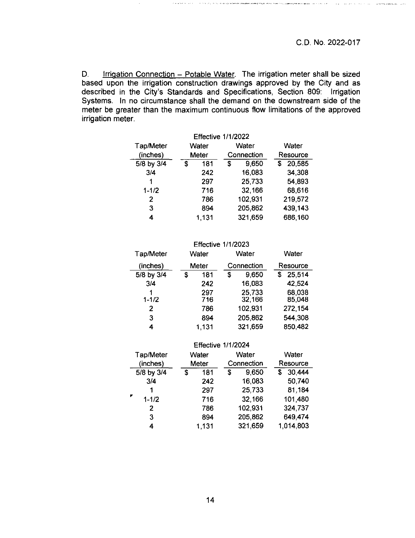$\alpha$  is a second .

D. Irrigation Connection - Potable Water. The irrigation meter shall be sized based upon the irrigation construction drawings approved by the City and as described in the City's Standards and Specifications, Section 809: Irrigation Systems. In no circumstance shall the demand on the downstream side of the meter be greater than the maximum continuous flow limitations of the approved irrigation meter.

| <b>Effective 1/1/2022</b> |       |       |   |            |             |  |  |  |
|---------------------------|-------|-------|---|------------|-------------|--|--|--|
| Tap/Meter                 | Water |       |   | Water      | Water       |  |  |  |
| (inches)                  | Meter |       |   | Connection | Resource    |  |  |  |
| 5/8 by 3/4                | S     | 181   | S | 9,650      | 20,585<br>S |  |  |  |
| 3/4                       |       | 242   |   | 16,083     | 34,308      |  |  |  |
| 1                         |       | 297   |   | 25,733     | 54,893      |  |  |  |
| $1 - 1/2$                 |       | 716   |   | 32,166     | 68,616      |  |  |  |
| 2                         |       | 786   |   | 102,931    | 219,572     |  |  |  |
| 3                         |       | 894   |   | 205,862    | 439,143     |  |  |  |
| 4                         |       | 1,131 |   | 321,659    | 686,160     |  |  |  |

| <b>Effective 1/1/2023</b> |   |       |   |            |          |         |  |
|---------------------------|---|-------|---|------------|----------|---------|--|
| <b>Tap/Meter</b>          |   | Water |   | Water      |          | Water   |  |
| (inches)                  |   | Meter |   | Connection | Resource |         |  |
| 5/8 by 3/4                | S | 181   | S | 9,650      | S        | 25,514  |  |
| 3/4                       |   | 242   |   | 16,083     |          | 42,524  |  |
| 1                         |   | 297   |   | 25,733     |          | 68,038  |  |
| $1 - 1/2$                 |   | 716   |   | 32,166     |          | 85,048  |  |
| 2                         |   | 786   |   | 102,931    |          | 272,154 |  |
| 3                         |   | 894   |   | 205,862    |          | 544,308 |  |
| 4                         |   | 1.131 |   | 321,659    |          | 850,482 |  |

| <b>Effective 1/1/2024</b> |                   |       |            |   |          |   |           |  |
|---------------------------|-------------------|-------|------------|---|----------|---|-----------|--|
| Tap/Meter                 |                   | Water |            |   | Water    |   | Water     |  |
|                           | (inches)<br>Meter |       | Connection |   | Resource |   |           |  |
|                           | 5/8 by 3/4        | S     | 181        | S | 9,650    | S | 30,444    |  |
|                           | 3/4               |       | 242        |   | 16,083   |   | 50,740    |  |
|                           | 1                 |       | 297        |   | 25,733   |   | 81,184    |  |
| ۳                         | $1 - 1/2$         |       | 716        |   | 32,166   |   | 101,480   |  |
|                           | 2                 |       | 786        |   | 102,931  |   | 324 737   |  |
|                           | 3                 |       | 894        |   | 205,862  |   | 649,474   |  |
|                           | 4                 |       | 1,131      |   | 321,659  |   | 1,014,803 |  |
|                           |                   |       |            |   |          |   |           |  |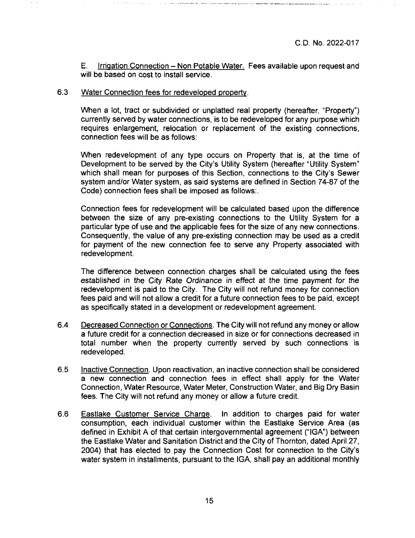E. Irrigation Connection - Non Potable Water. Fees available upon request and will be based on cost to install service.

#### 6.3 Water Connection fees for redeveloped property.

When a lot, tract or subdivided or unplatted real property (hereafter, "Property") currently served by water connections, is to be redeveloped for any purpose which requires enlargement, relocation or replacement of the existing connections, connection fees will be as follows;

When redevelopment of any type occurs on Property that is, at the time of Development to be served by the City's Utility System (hereafter "Utility System" which shall mean for purposes of this Section, connections to the City's Sewer system and/or Water system, as said systems are defined in Section 74-87 of the Code) connection fees shall be imposed as follows:.

Connection fees for redevelopment will be calculated based upon the difference between the size of any pre-existing connections to the Utility System for a particular type of use and the applicable fees for the size of any new connections. Consequently, the value of any pre-existing connection may be used as a credit for payment of the new connection fee to serve any Property associated with redevelopment.

The difference between connection charges shall be calculated using the fees established in the City Rate Ordinance in effect at the time payment for the redevelopment is paid to the City. The City will not refund money for connection fees paid and will not allow a credit for a future connection fees to be paid, except as specifically stated in a development or redevelopment agreement.

- 6.4 Decreased Connection or Connections. The City will not refund any money or allow a future credit for a connection decreased in size or for connections decreased in total number when the property currently served by such connections is redeveloped.
- 6.5 Inactive Connection. Upon reactivation, an inactive connection shall be considered a new connection and connection fees in effect shall apply for the Water Connection, Water Resource, Water Meter, Construction Water, and Big Dry Basin fees. The City will not refund any money or allow a future credit.
- **6.6** Eastlake Customer Service Charge. In addition to charges paid for water consumption, each individual customer within the Eastlake Service Area (as defined in Exhibit A of that certain intergovernmental agreement ("IGA") between the Eastlake Water and Sanitation District and the City of Thornton, dated April 27, 2004) that has elected to pay the Connection Cost for connection to the City's water system in installments, pursuant to the IGA, shall pay an additional monthly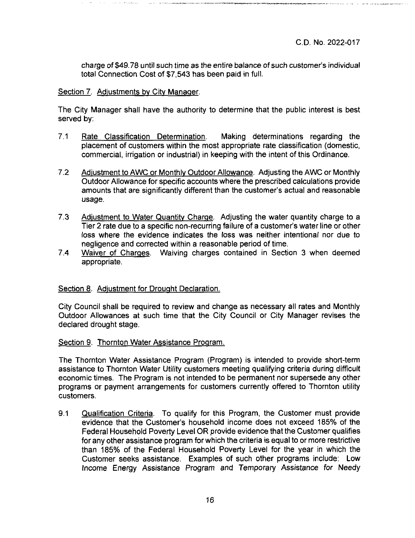charge of \$49.78 until such time as the entire balance of such customer's individual total Connection Cost of \$7,543 has been paid in full.

#### Section 7. Adjustments by City Manager.

The City Manager shall have the authority to determine that the public interest is best served by:

- 7.1 Rate Classification Determination. Making determinations regarding the placement of customers within the most appropriate rate classification (domestic, commercial, irrigation or industrial) in keeping with the intent of this Ordinance.
- 7.2 Adjustment to AWC or Monthly Outdoor Allowance. Adjusting the AWC or Monthly Outdoor Allowance for specific accounts where the prescribed calculations provide amounts that are significantly different than the customer's actual and reasonable usage.
- 7.3 Adjustment to Water Quantity Charge. Adjusting the water quantity charge to a Tier 2 rate due to a specific non-recurring failure of a customer's water line or other loss where the evidence indicates the loss was neither intentional nor due to negligence and corrected within a reasonable period of time.
- 7.4 Waiver of Charges. Waiving charges contained in Section 3 when deemed appropriate.

# Section 8. Adjustment for Drought Declaration.

City Council shall be required to review and change as necessary all rates and Monthly Outdoor Allowances at such time that the City Council or City Manager revises the declared drought stage.

#### Section 9. Thornton Water Assistance Program.

The Thornton Water Assistance Program (Program) is intended to provide short-term assistance to Thornton Water Utility customers meeting qualifying criteria during difficult economic times. The Program is not intended to be permanent nor supersede any other programs or payment arrangements for customers currently offered to Thornton utility customers.

9.1 Qualification Criteria. To qualify for this Program, the Customer must provide evidence that the Customer's household income does not exceed 185% of the Federal Household Poverty Level OR provide evidence that the Customer qualifies for any other assistance program for which the criteria is equal to or more restrictive than 185% of the Federal Household Poverty Level for the year in which the Customer seeks assistance. Examples of such other programs include: Low Income Energy Assistance Program and Temporary Assistance for Needy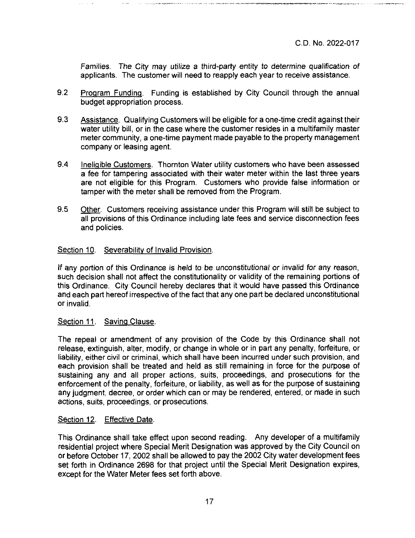Families. The City may utilize a third-party entity to determine qualification of applicants. The customer will need to reapply each year to receive assistance.

- 9.2 Program Funding. Funding is established by City Council through the annual budget appropriation process.
- 9.3 Assistance. Qualifying Customers will be eligible for a one-time credit against their water utility bill, or in the case where the customer resides in a multifamily master meter community, a one-time payment made payable to the property management company or leasing agent.
- 9.4 Ineligible Customers. Thornton Water utility customers who have been assessed a fee for tampering associated with their water meter within the last three years are not eligible for this Program. Customers who provide false information or tamper with the meter shall be removed from the Program.
- 9.5 Other. Customers receiving assistance under this Program will still be subject to all provisions of this Ordinance including late fees and service disconnection fees and policies.

### Section 10. Severability of Invalid Provision.

If any portion of this Ordinance is held to be unconstitutional or invalid for any reason, such decision shall not affect the constitutionality or validity of the remaining portions of this Ordinance. City Council hereby declares that it would have passed this Ordinance and each part hereof irrespective of the fact that any one part be declared unconstitutional or invalid.

#### Section 11. Saving Clause.

The repeal or amendment of any provision of the Code by this Ordinance shall not release, extinguish, alter, modify, or change in whole or in part any penalty, forfeiture, or liability, either civil or criminal, which shall have been incurred under such provision, and each provision shall be treated and held as still remaining in force for the purpose of sustaining any and all proper actions, suits, proceedings, and prosecutions for the enforcement of the penalty, forfeiture, or liability, as well as for the purpose of sustaining any judgment, decree, or order which can or may be rendered, entered, or made in such actions, suits, proceedings, or prosecutions.

#### Section 12. Effective Date.

This Ordinance shall take effect upon second reading. Any developer of a multifamily residential project where Special Merit Designation was approved by the City Council on or before October 17, 2002 shall be allowed to pay the 2002 City water development fees set forth in Ordinance 2698 for that project until the Special Merit Designation expires, except for the Water Meter fees set forth above.